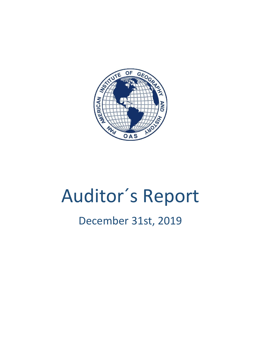

# Auditor´s Report

# December 31st, 2019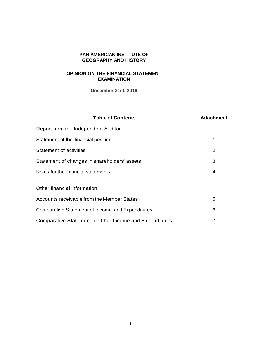#### **PAN AMERICAN INSTITUTE OF GEOGRAPHY AND HISTORY**

# **OPINION ON THE FINANCIAL STATEMENT EXAMINATION**

**December 31st, 2019** 

#### **Table of Contents Attachment**

| Report from the Independent Auditor                    |                |
|--------------------------------------------------------|----------------|
| Statement of the financial position                    | 1              |
| <b>Statement of activities</b>                         | $\overline{2}$ |
| Statement of changes in shareholders' assets           | 3              |
| Notes for the financial statements                     | 4              |
| Other financial information:                           |                |
| Accounts receivable from the Member States             | 5              |
| Comparative Statement of Income and Expenditures       | 6              |
| Comparative Statement of Other Income and Expenditures | 7              |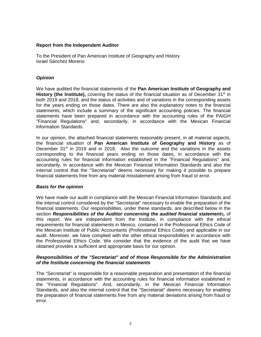#### **Report from the Independent Auditor**

To the President of Pan American Institute of Geography and History Israel Sánchez Moreno

#### *Opinion*

We have audited the financial statements of the **Pan American Institute of Geography and History (the Institute),** covering the status of the financial situation as of December 31<sup>st</sup> in both 2019 and 2018, and the status of activities and of variations in the corresponding assets for the years ending on those dates. There are also the explanatory notes to the financial statements, which include a summary of the significant accounting policies. The financial statements have been prepared in accordance with the accounting rules of the PAIGH "Financial Regulations" and, secondarily, in accordance with the Mexican Financial lnformation Standards.

In our opinion, the attached financial statements reasonably present, in all material aspects, the financial situation of **Pan American Institute of Geography and History** as of December 31<sup>st</sup> in 2019 and in 2018. Also the outcome and the variations in the assets corresponding to the financial years ending on those dates, in accordance with the accounting rules for financial information established in the "Financial Regulations" and, secondarily, in accordance with the Mexican Financial lnformation Standards and also the internal control that the "Secretariat" deems necessary for making it possible to prepare financial statements free from any material misstatement arising from fraud or error.

#### *Basis for the opinion*

We have made our audit in compliance with the Mexican Financial lnformation Standards and the internal control considered by the "Secretariat" necessary to enable the preparation of the financial statements. Our responsibilities, under these standards, are described below in the section *Responsibilities of the Auditor concerning the audited financial statements,* of this report. We are independent from the lnstitute, in compliance with the ethical requirements for financial statements in Mexico, contained in the Professional Ethics Code of the Mexican lnstitute of Public Accountants (Professional Ethics Code) and applicable in our audit. Moreover, we have complied with the other ethical responsibilities in accordance with the Professional Ethics Code. We consider that the evidence of the audit that we have obtained provides a sufficient and appropriate basis for our opinion.

#### *Responsibilities of the "Secretariat" and of those Responsible for the Administration of the lnstitute concerning the financial statements*

The "Secretariat" is responsible for a reasonable preparation and presentation of the financial statements, in accordance with the accounting rules for financial information established in the "Financial Regulations". And, secondarily, in the Mexican Financial lnformation Standards, and also the internal control that the "Secretariat" deems necessary for enabling the preparation of financial statements free from any material deviations arising from fraud or error.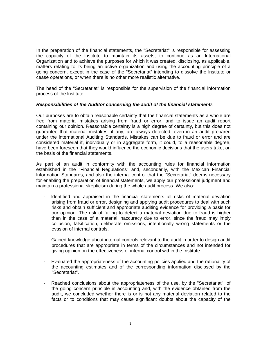In the preparation of the financial statements, the "Secretariat" is responsible for assessing the capacity of the lnstitute to maintain its assets, to continue as an lnternational Organization and to achieve the purposes for which it was created, disclosing, as applicable, matters relating to its being an active organization and using the accounting principle of a going concern, except in the case of the "Secretariat" intending to dissolve the lnstitute or cease operations, or when there is no other more realistic alternative.

The head of the "Secretariat" is responsible for the supervision of the financial information process of the lnstitute.

#### *Responsibilities of the Auditor concerning the audit of the financial statements*

Our purposes are to obtain reasonable certainty that the financial statements as a whole are free from material mistakes arising from fraud or error, and to issue an audit report containing our opinion. Reasonable certainty is a high degree of certainty, but this does not guarantee that material mistakes, if any, are always detected, even in an audit prepared under the lnternational Auditing Standards. Mistakes can be due to fraud or error and are considered material if, individually or in aggregate form, it could, to a reasonable degree, have been foreseen that they would influence the economic decisions that the users take, on the basis of the financial statements.

As part of an audit in conformity with the accounting rules for financial information established in the "Financial Regulations" and, secondarily, with the Mexican Financial lnformation Standards, and also the internal control that the "Secretariat" deems necessary for enabling the preparation of financial statements, we apply our professional judgment and maintain a professional skepticism during the whole audit process. We also:

- ldentified and appraised in the financial statements all risks of material deviation arising from fraud or error, designing and applying audit procedures to deal with such risks and obtain sufficient and appropriate auditing evidence for providing a basis for our opinion. The risk of failing to detect a material deviation due to fraud is higher than in the case of a material inaccuracy due to error, since the fraud may imply collusion, falsification, deliberate omissions, intentionally wrong statements or the evasion of internal controls.
- Gained knowledge about internal controls relevant to the audit in order to design audit procedures that are appropriate in terms of the circumstances and not intended for giving opinion on the effectiveness of internal control within the Institute.
- Evaluated the appropriateness of the accounting policies applied and the rationality of the accounting estimates and of the corresponding information disclosed by the "Secretariat".
- Reached conclusions about the appropriateness of the use, by the "Secretariat", of the going concern principle in accounting and, with the evidence obtained from the audit, we concluded whether there is or is not any material deviation related to the facts or to conditions that may cause significant doubts about the capacity of the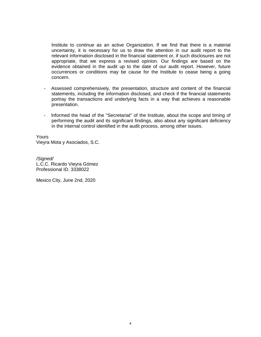lnstitute to continue as an active Organization. lf we find that there is a material uncertainty, it is necessary for us to draw the attention in our audit report to the relevant information disclosed in the financial statement or, if such disclosures are not appropriate, that we express a revised opinion. Our findings are based on the evidence obtained in the audit up to the date of our audit report. However, future occurrences or conditions may be cause for the lnstitute to cease being a going concern.

- Assessed comprehensively, the presentation, structure and content of the financial statements, including the information disclosed, and check if the financial statements portray the transactions and underlying facts in a way that achieves a reasonable presentation.
- lnformed the head of the "Secretariat" of the lnstitute, about the scope and timing of performing the audit and its significant findings, also about any significant deficiency in the internal control identified in the audit process, among other issues.

Yours Vieyra Mota y Asociados, S.C.

*/Signed/* L.C.C. Ricardo Vieyra Gómez Professional ID. 3338022

Mexico City, June 2nd, 2020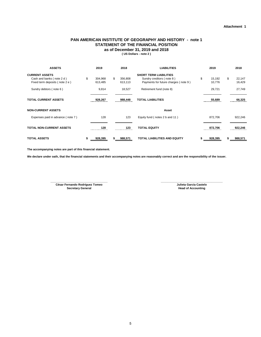#### **( US Dollars - note 2 ) PAN AMERICAN INSTITUTE OF GEOGRAPHY AND HISTORY - note 1 STATEMENT OF THE FINANCIAL POSITION as of December 31, 2019 and 2018**

| <b>ASSETS</b>                     |    | 2019    |    | 2018    | <b>LIABILITIES</b>                   | 2019         |    | 2018    |
|-----------------------------------|----|---------|----|---------|--------------------------------------|--------------|----|---------|
| <b>CURRENT ASSETS</b>             |    |         |    |         | <b>SHORT TERM LIABILITIES</b>        |              |    |         |
| Cash and banks (note 2 d)         | \$ | 304,968 | \$ | 356,808 | Sundry creditors (note 8)            | \$<br>15,192 | \$ | 22,147  |
| Fixed term deposits (note 2 e)    |    | 613,485 |    | 613,113 | Payments for future charges (note 9) | 10,776       |    | 16,429  |
| Sundry debtors (note 6)           |    | 9,814   |    | 18,527  | Retirement fund (note 8)             | 29,721       |    | 27,749  |
| <b>TOTAL CURRENT ASSETS</b>       |    | 928,267 |    | 988,448 | <b>TOTAL LIABILITIES</b>             | 55,689       |    | 66,325  |
| <b>NON-CURRENT ASSETS</b>         |    |         |    |         | Asset                                |              |    |         |
| Expenses paid in advance (note 7) |    | 128     |    | 123     | Equity fund (notes 2 b and 11)       | 872,706      |    | 922,246 |
|                                   |    |         |    |         |                                      |              |    |         |
| <b>TOTAL NON-CURRENT ASSETS</b>   |    | 128     |    | 123<br> | <b>TOTAL EQUITY</b>                  | 872.706      |    | 922,246 |
|                                   |    |         |    |         |                                      |              |    |         |
| <b>TOTAL ASSETS</b>               | S  | 928,395 | S  | 988,571 | <b>TOTAL LIABILITIES AND EQUITY</b>  | 928,395      | S. | 988,571 |

**The accompanying notes are part of this financial statement.**

**We declare under oath, that the financial statements and their accompanying notes are reasonably correct and are the responsibility of the issuer.**

**César Fernando Rodríguez Tomeo Secretary General \_\_\_\_\_\_\_\_\_\_\_\_\_\_\_\_\_\_\_\_\_\_\_\_\_\_\_\_\_\_\_\_\_\_\_\_ \_\_\_\_\_\_\_\_\_\_\_\_\_\_\_\_\_\_\_\_\_\_\_\_\_\_\_\_\_\_\_\_\_\_\_\_\_\_\_**

**Julieta García Castelo Head of Accounting**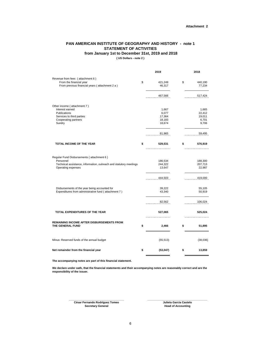#### **PAN AMERICAN INSTITUTE OF GEOGRAPHY AND HISTORY - note 1 STATEMENT OF ACTIVITIES**

#### **from January 1st to December 31st, 2019 and 2018**

**( US Dollars - note 2 )**

|                                                                                                                                                    | 2019                                         | 2018                                        |
|----------------------------------------------------------------------------------------------------------------------------------------------------|----------------------------------------------|---------------------------------------------|
| Revenue from fees (attachment 6)<br>From the financial year<br>From previous financial years (attachment 2 a)                                      | \$<br>421,249<br>46,317                      | \$<br>440,190<br>77,234                     |
|                                                                                                                                                    | 467,566                                      | 517,424                                     |
| Other income (attachment 7)<br>Interest earned<br>Publications<br>Services to third parties<br>Cooperating partners<br>Sundry                      | 1,667<br>6,077<br>17,364<br>18,183<br>18,674 | 1,665<br>22,412<br>19,011<br>6,701<br>9,706 |
|                                                                                                                                                    | 61,965                                       | 59,495                                      |
| TOTAL INCOME OF THE YEAR                                                                                                                           | \$<br>529,531                                | \$<br>576,919                               |
| Regular Fund Disbursements (attachment 6)<br>Personnel<br>Technical assistance, information, outreach and statutory meetings<br>Operating expenses | 186,534<br>244,322<br>13,647                 | 188,300<br>207,713<br>22,987                |
|                                                                                                                                                    | 444,503                                      | 419,000                                     |
| Disbursements of the year being accounted for<br>Expenditures from administrative fund (attachment 7)                                              | 39,222<br>43,340                             | 55,105<br>50,919                            |
|                                                                                                                                                    | 82,562                                       | 106,024                                     |
| TOTAL EXPENDITURES OF THE YEAR                                                                                                                     | 527,065                                      | 525,024                                     |
| REMAINING INCOME AFTER DISBURSEMENTS FROM<br>THE GENERAL FUND                                                                                      | \$<br>2,466                                  | \$<br>51,895                                |
| Minus: Reserved funds of the annual budget                                                                                                         | (55, 513)                                    | (38,036)                                    |
| Net remainder from the financial year                                                                                                              | \$<br>(53,047)                               | \$<br>13,859                                |
|                                                                                                                                                    |                                              |                                             |

**The accompanying notes are part of this financial statement.**

**We declare under oath, that the financial statements and their accompanying notes are reasonably correct and are the responsibility of the issuer.**

> **\_\_\_\_\_\_\_\_\_\_\_\_\_\_\_\_\_\_\_\_\_\_\_\_\_\_\_\_\_\_\_\_\_\_\_\_ César Fernando Rodríguez Tomeo Secretary General 1986 Head of Accounting**

**\_\_\_\_\_\_\_\_\_\_\_\_\_\_\_\_\_\_\_\_\_\_\_\_\_\_\_\_\_\_\_\_\_\_\_\_\_\_\_ Julieta García Castelo**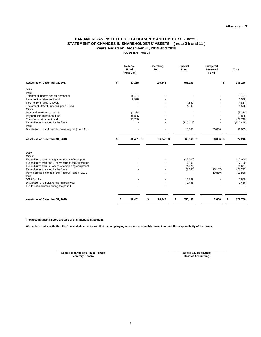#### **PAN AMERICAN INSTITUTE OF GEOGRAPHY AND HISTORY - note 1 STATEMENT OF CHANGES IN SHAREHOLDERS' ASSETS ( note 2 b and 11 ) Years ended on December 31, 2019 and 2018**

**( US Dollars - note 2 )**

|                                                                                                                                                                                 | Reserve<br>Fund<br>(note 2 c) | Operating<br>Fund | Special<br>Fund                 | <b>Budgeted</b><br>Reserved<br>Fund | <b>Total</b>                    |
|---------------------------------------------------------------------------------------------------------------------------------------------------------------------------------|-------------------------------|-------------------|---------------------------------|-------------------------------------|---------------------------------|
| Assets as of December 31, 2017                                                                                                                                                  | \$<br>33,235                  | 196,848           | 756,163                         | $-$ \$                              | 986,246                         |
| 2018<br>Plus:                                                                                                                                                                   |                               |                   |                                 |                                     |                                 |
| Transfer of indemnities for personnel                                                                                                                                           | 18,401                        |                   |                                 |                                     | 18,401                          |
| Increment to retirement fund                                                                                                                                                    | 6,578                         |                   |                                 |                                     | 6,578                           |
| Income from funds recovery<br>Transfer of Other Funds to Special Fund                                                                                                           |                               |                   | 4,857<br>4,500                  |                                     | 4,857<br>4,500                  |
| Minus:                                                                                                                                                                          |                               |                   |                                 |                                     |                                 |
| Losses due to exchange rate                                                                                                                                                     | (3,238)                       |                   |                                 |                                     | (3, 238)                        |
| Payment into retirement fund                                                                                                                                                    | (8,826)                       |                   |                                 |                                     | (8, 826)                        |
| Transfer to retirement fund                                                                                                                                                     | (27, 749)                     |                   |                                 |                                     | (27, 749)                       |
| Expenditures financed by the funds                                                                                                                                              |                               |                   | (110, 418)                      |                                     | (110, 418)                      |
| Plus:<br>Distribution of surplus of the financial year (note 11)                                                                                                                |                               |                   | 13,859                          | 38,036                              | 51,895                          |
|                                                                                                                                                                                 |                               |                   |                                 |                                     |                                 |
| Assets as of December 31, 2018                                                                                                                                                  | 18,401 \$                     | 196,848 \$        | 668,961 \$                      | 38,036 \$                           | 922,246                         |
| 2019<br>Minus:<br>Expenditures from changes to means of transport<br>Expenditures from the 91st Meeting of the Authorities<br>Expenditures from purchase of computing equipment |                               |                   | (12,000)<br>(7, 100)<br>(4,674) |                                     | (12,000)<br>(7, 100)<br>(4,674) |
| Expenditures financed by the funds<br>Paying off the balance of the Reserve Fund of 2018<br>Plus:                                                                               |                               |                   | (3,065)<br>$\overline{a}$       | (25, 167)<br>(10, 869)              | (28, 232)<br>(10, 869)          |
| 2018 Surplus                                                                                                                                                                    |                               |                   | 10,869                          |                                     | 10,869                          |
| Distribution of surplus of the financial year                                                                                                                                   |                               |                   | 2,466                           |                                     | 2,466                           |
| Funds not disbursed during the period                                                                                                                                           |                               |                   |                                 |                                     |                                 |
| Assets as of December 31, 2019                                                                                                                                                  | \$<br>18,401                  | 196,848<br>\$     | \$<br>655,457                   | 2,000                               | \$<br>872,706                   |
|                                                                                                                                                                                 |                               |                   |                                 |                                     |                                 |

**The accompanying notes are part of this financial statement.**

**We declare under oath, that the financial statements and their accompanying notes are reasonably correct and are the responsibility of the issuer.**

**Secretary General \_\_\_\_\_\_\_\_\_\_\_\_\_\_\_\_\_\_\_\_\_\_\_\_\_\_\_\_\_\_\_\_\_\_\_\_ César Fernando Rodríguez Tomeo** **\_\_\_\_\_\_\_\_\_\_\_\_\_\_\_\_\_\_\_\_\_\_\_\_\_\_\_\_\_\_\_\_\_\_\_\_\_\_\_ Julieta García Castelo Head of Accounting**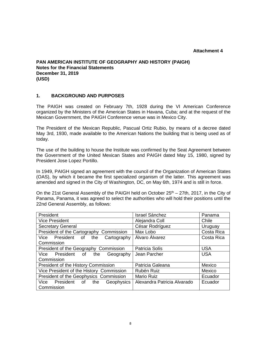# **Attachment 4**

#### **PAN AMERICAN INSTITUTE OF GEOGRAPHY AND HISTORY (PAIGH) Notes for the Financial Statements December 31, 2019 (USD)**

#### **1. BACKGROUND AND PURPOSES**

The PAIGH was created on February 7th, 1928 during the VI American Conference organized by the Ministers of the American States in Havana, Cuba; and at the request of the Mexican Government, the PAIGH Conference venue was in Mexico City.

The President of the Mexican Republic, Pascual Ortiz Rubio, by means of a decree dated May 3rd, 1930, made available to the American Nations the building that is being used as of today.

The use of the building to house the lnstitute was confirmed by the Seat Agreement between the Government of the United Mexican States and PAIGH dated May 15, 1980, signed by President Jose Lopez Portillo.

In 1949, PAIGH signed an agreement with the council of the Organization of American States (OAS), by which it became the first specialized organism of the latter. This agreement was amended and signed in the City of Washington, DC, on May 6th, 1974 and is still in force.

On the 21st General Assembly of the PAIGH held on October  $25<sup>th</sup> - 27th$ , 2017, in the City of Panama, Panama, it was agreed to select the authorities who will hold their positions until the 22nd General Assembly, as follows:

| President                                | <b>Israel Sánchez</b>       | Panama     |
|------------------------------------------|-----------------------------|------------|
| <b>Vice President</b>                    | Alejandra Coll              | Chile      |
| <b>Secretary General</b>                 | César Rodríguez             | Uruguay    |
| President of the Cartography Commission  | Max Lobo                    | Costa Rica |
| Vice President of the<br>Cartography     | Álvaro Álvarez              | Costa Rica |
| Commission                               |                             |            |
| President of the Geography Commission    | Patricia Solís              | <b>USA</b> |
| Vice President of the<br>Geography       | Jean Parcher                | <b>USA</b> |
| Commission                               |                             |            |
| President of the History Commission      | Patricia Galeana            | Mexico     |
| Vice President of the History Commission | Rubén Ruiz                  | Mexico     |
| President of the Geophysics Commission   | <b>Mario Ruiz</b>           | Ecuador    |
| Vice President of the<br>Geophysics      | Alexandra Patricia Alvarado | Ecuador    |
| Commission                               |                             |            |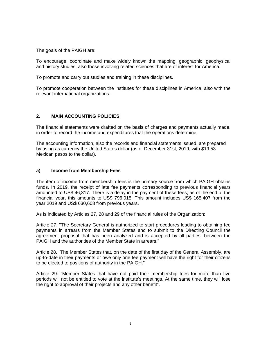The goals of the PAIGH are:

To encourage, coordinate and make widely known the mapping, geographic, geophysical and history studies, also those involving related sciences that are of interest for America.

To promote and carry out studies and training in these disciplines.

To promote cooperation between the institutes for these disciplines in America, also with the relevant international organizations.

## **2. MAIN ACCOUNTING POLICIES**

The financial statements were drafted on the basis of charges and payments actually made, in order to record the income and expenditures that the operations determine.

The accounting information, also the records and financial statements issued, are prepared by using as currency the United States dollar (as of December 31st, 2019, with \$19.53 Mexican pesos to the dollar).

#### **a) Income from Membership Fees**

The item of income from membership fees is the primary source from which PAIGH obtains funds. In 2019, the receipt of late fee payments corresponding to previous financial years amounted to US\$ 46,317. There is a delay in the payment of these fees; as of the end of the financial year, this amounts to US\$ 796,015. This amount includes US\$ 165,407 from the year 2019 and US\$ 630,608 from previous years.

As is indicated by Articles 27, 28 and 29 of the financial rules of the Organization:

Article 27. "The Secretary General is authorized to start procedures leading to obtaining fee payments in arrears from the Member States and to submit to the Directing Council the agreement proposal that has been analyzed and is accepted by all parties, between the PAIGH and the authorities of the Member State in arrears."

Article 28. "The Member States that, on the date of the first day of the General Assembly, are up-to-date in their payments or owe only one fee payment will have the right for their citizens to be elected to positions of authority in the PAIGH."

Article 29. "Member States that have not paid their membership fees for more than five periods will not be entitled to vote at the lnstitute's meetings. At the same time, they will lose the right to approval of their projects and any other benefit".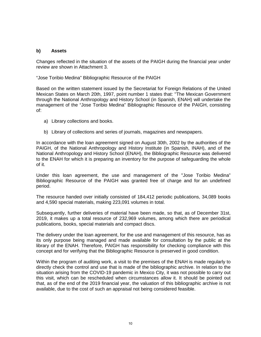#### **b) Assets**

Changes reflected in the situation of the assets of the PAIGH during the financial year under review are shown in Attachment 3.

"Jose Toribio Medina" Bibliographic Resource of the PAIGH

Based on the written statement issued by the Secretariat for Foreign Relations of the United Mexican States on March 20th, 1997, point number 1 states that: ''The Mexican Government through the National Anthropology and History School (in Spanish, ENAH) will undertake the management of the "Jose Toribio Medina" Bibliographic Resource of the PAIGH, consisting of:

- a) Library collections and books.
- b) Library of collections and series of journals, magazines and newspapers.

In accordance with the loan agreement signed on August 30th, 2002 by the authorities of the PAIGH, of the National Anthropology and History Institute (in Spanish, INAH), and of the National Anthropology and History School (ENAH), the Bibliographic Resource was delivered to the ENAH for which it is preparing an inventory for the purpose of safeguarding the whole of it.

Under this loan agreement, the use and management of the "Jose Toribio Medina" Bibliographic Resource of the PAIGH was granted free of charge and for an undefined period.

The resource handed over initially consisted of 184,412 periodic publications, 34,089 books and 4,590 special materials, making 223,091 volumes in total.

Subsequently, further deliveries of material have been made, so that, as of December 31st, 2019, it makes up a total resource of 232,969 volumes, among which there are periodical publications, books, special materials and compact discs.

The delivery under the loan agreement, for the use and management of this resource, has as its only purpose being managed and made available for consultation by the public at the library of the ENAH. Therefore, PAIGH has responsibility for checking compliance with this concept and for verifying that the Bibliographic Resource is preserved in good condition.

Within the program of auditing work, a visit to the premises of the ENAH is made regularly to directly check the control and use that is made of the bibliographic archive. In relation to the situation arising from the COVID-19 pandemic in Mexico City, it was not possible to carry out this visit, which can be rescheduled when circumstances allow it. It should be pointed out that, as of the end of the 2019 financial year, the valuation of this bibliographic archive is not available, due to the cost of such an appraisal not being considered feasible.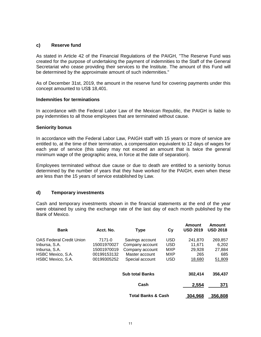#### **c) Reserve fund**

As stated in Article 42 of the Financial Regulations of the PAIGH, "The Reserve Fund was created for the purpose of undertaking the payment of indemnities to the Staff of the General Secretariat who cease providing their services to the lnstitute. The amount of this Fund will be determined by the approximate amount of such indemnities."

As of December 31st, 2019, the amount in the reserve fund for covering payments under this concept amounted to US\$ 18,401.

#### **lndemnities for terminations**

In accordance with the Federal Labor Law of the Mexican Republic, the PAIGH is liable to pay indemnities to all those employees that are terminated without cause.

#### **Seniority bonus**

In accordance with the Federal Labor Law, PAIGH staff with 15 years or more of service are entitled to, at the time of their termination, a compensation equivalent to 12 days of wages for each year of service (this salary may not exceed an amount that is twice the general minimum wage of the geographic area, in force at the date of separation).

Employees terminated without due cause or due to death are entitled to a seniority bonus determined by the number of years that they have worked for the PAIGH, even when these are less than the 15 years of service established by Law.

#### **d) Temporary investments**

Cash and temporary investments shown in the financial statements at the end of the year were obtained by using the exchange rate of the last day of each month published by the Bank of Mexico.

| <b>Bank</b>                                      | Acct. No.                  | <b>Type</b>                        | Сy                | Amount<br><b>USD 2019</b> | Amount<br><b>USD 2018</b> |
|--------------------------------------------------|----------------------------|------------------------------------|-------------------|---------------------------|---------------------------|
| <b>OAS Federal Credit Union</b><br>Inbursa, S.A. | 7171-0<br>15001970027      | Savings account<br>Company account | USD<br><b>USD</b> | 241,870<br>11.671         | 269,857<br>6.202          |
| Inbursa, S.A.<br>HSBC Mexico, S.A.               | 15001970019<br>00199153132 | Company account<br>Master account  | MXP<br>MXP        | 29.928<br>265             | 27,884<br>685             |
| HSBC Mexico, S.A.                                | 00199305252                | Special account                    | <b>USD</b>        | 18,680                    | 51,809                    |
|                                                  |                            | <b>Sub total Banks</b>             |                   | 302,414                   | 356,437                   |
|                                                  |                            | Cash                               |                   | 2,554                     | 371                       |
|                                                  |                            | <b>Total Banks &amp; Cash</b>      |                   | 304,968                   | 356,808                   |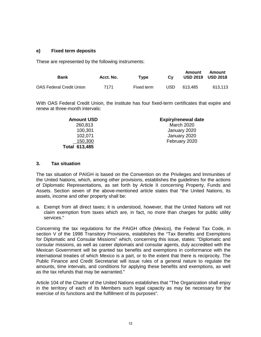#### **e) Fixed term deposits**

These are represented by the following instruments:

| Bank                            | Acct. No. | Type       | Cv   | Amount  | Amount<br><b>USD 2019 USD 2018</b> |
|---------------------------------|-----------|------------|------|---------|------------------------------------|
| <b>OAS Federal Credit Union</b> | 7171      | Fixed term | USD. | 613.485 | 613.113                            |

With OAS Federal Credit Union, the institute has four fixed-term certificates that expire and renew at three-month intervals:

| <b>Amount USD</b>    | <b>Expiry/renewal date</b> |
|----------------------|----------------------------|
| 260,813              | <b>March 2020</b>          |
| 100,301              | January 2020               |
| 102,071              | January 2020               |
| 150,300              | February 2020              |
| <b>Total 613,485</b> |                            |

#### **3. Tax situation**

The tax situation of PAIGH is based on the Convention on the Privileges and lmmunities of the United Nations, which, among other provisions, establishes the guidelines for the actions of Diplomatic Representations, as set forth by Article II concerning Property, Funds and Assets. Section seven of the above-mentioned article states that "the United Nations, its assets, income and other property shall be:

a. Exempt from all direct taxes; it is understood, however, that the United Nations will not claim exemption from taxes which are, in fact, no more than charges for public utility services."

Concerning the tax regulations for the PAIGH office (Mexico), the Federal Tax Code, in section V of the 1998 Transitory Provisions, establishes the "Tax Benefits and Exemptions for Diplomatic and Consular Missions" which, concerning this issue, states: "Diplomatic and consular missions, as well as career diplomats and consular agents, duly accredited with the Mexican Government will be granted tax benefits and exemptions in conformance with the international treaties of which Mexico is a part, or to the extent that there is reciprocity. The Public Finance and Credit Secretariat will issue rules of a general nature to regulate the amounts, time intervals, and conditions for applying these benefits and exemptions, as well as the tax refunds that may be warranted."

Article 104 of the Charter of the United Nations establishes that "The Organization shall enjoy in the territory of each of its Members such legal capacity as may be necessary for the exercise of its functions and the fulfillment of its purposes".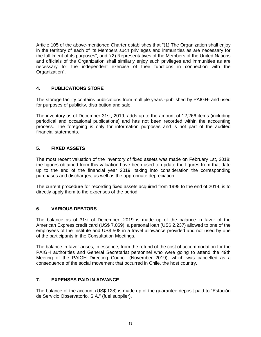Article 105 of the above-mentioned Charter establishes that "(1) The Organization shall enjoy in the territory of each of its Members such privileges and immunities as are necessary for the fulfilment of its purposes", and "(2) Representatives of the Members of the United Nations and officials of the Organization shall similarly enjoy such privileges and immunities as are necessary for the independent exercise of their functions in connection with the Organization".

## **4. PUBLICATIONS STORE**

The storage facility contains publications from multiple years -published by PAIGH- and used for purposes of publicity, distribution and sale.

The inventory as of December 31st, 2019, adds up to the amount of 12,266 items (including periodical and occasional publications) and has not been recorded within the accounting process. The foregoing is only for information purposes and is not part of the audited financial statements.

## **5. FIXED ASSETS**

The most recent valuation of the inventory of fixed assets was made on February 1st, 2018; the figures obtained from this valuation have been used to update the figures from that date up to the end of the financial year 2019, taking into consideration the corresponding purchases and discharges, as well as the appropriate depreciation.

The current procedure for recording fixed assets acquired from 1995 to the end of 2019, is to directly apply them to the expenses of the period.

#### **6. VARIOUS DEBTORS**

The balance as of 31st of December, 2019 is made up of the balance in favor of the American Express credit card (US\$ 7,069), a personal loan (US\$ 2,237) allowed to one of the employees of the Institute and US\$ 508 in a travel allowance provided and not used by one of the participants in the Consultation Meetings.

The balance in favor arises, in essence, from the refund of the cost of accommodation for the PAIGH authorities and General Secretariat personnel who were going to attend the 49th Meeting of the PAIGH Directing Council (November 2019), which was cancelled as a consequence of the social movement that occurred in Chile, the host country.

#### **7. EXPENSES PAID IN ADVANCE**

The balance of the account (US\$ 128) is made up of the guarantee deposit paid to "Estación de Servicio Observatorio, S.A." (fuel supplier).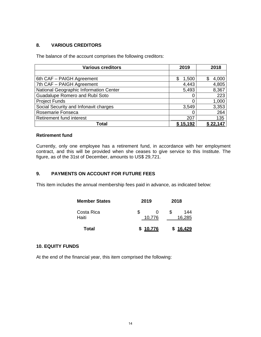## **8. VARIOUS CREDITORS**

The balance of the account comprises the following creditors:

| <b>Various creditors</b>               | 2019       | 2018      |
|----------------------------------------|------------|-----------|
|                                        |            |           |
| 6th CAF - PAIGH Agreement              | 1,500<br>S | 4,000     |
| 7th CAF - PAIGH Agreement              | 4,443      | 4,805     |
| National Geographic Information Center | 5,493      | 8,367     |
| Guadalupe Romero and Rubí Soto         |            | 223       |
| <b>Project Funds</b>                   |            | 1,000     |
| Social Security and Infonavit charges  | 3,549      | 3,353     |
| Rosemarie Fonseca                      |            | 264       |
| Retirement fund interest               | 207        | 135       |
| Total                                  | \$15,192   | \$ 22,147 |

#### **Retirement fund**

Currently, only one employee has a retirement fund, in accordance with her employment contract, and this will be provided when she ceases to give service to this Institute. The figure, as of the 31st of December, amounts to US\$ 29,721.

#### **9. PAYMENTS ON ACCOUNT FOR FUTURE FEES**

This item includes the annual membership fees paid in advance, as indicated below:

| <b>Member States</b> | 2019        | 2018               |
|----------------------|-------------|--------------------|
| Costa Rica<br>Haiti  | S<br>10,776 | S<br>144<br>16,285 |
| Total                | \$10,776    | \$16,429           |

#### **10. EQUITY FUNDS**

At the end of the financial year, this item comprised the following: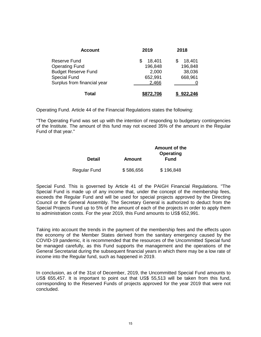| <b>Account</b>              | 2019      | 2018      |
|-----------------------------|-----------|-----------|
| Reserve Fund                | 18,401    | 18,401    |
| <b>Operating Fund</b>       | 196,848   | 196,848   |
| <b>Budget Reserve Fund</b>  | 2,000     | 38,036    |
| <b>Special Fund</b>         | 652,991   | 668,961   |
| Surplus from financial year | 2,466     |           |
| Total                       | \$872,706 | \$922,246 |

Operating Fund. Article 44 of the Financial Regulations states the following:

"The Operating Fund was set up with the intention of responding to budgetary contingencies of the lnstitute. The amount of this fund may not exceed 35% of the amount in the Regular Fund of that year."

|              |               | Amount of the<br><b>Operating</b> |
|--------------|---------------|-----------------------------------|
| Detail       | <b>Amount</b> | <b>Fund</b>                       |
| Regular Fund | \$586,656     | \$196,848                         |

Special Fund. This is governed by Article 41 of the PAIGH Financial Regulations. "The Special Fund is made up of any income that, under the concept of the membership fees, exceeds the Regular Fund and will be used for special projects approved by the Directing Council or the General Assembly. The Secretary General is authorized to deduct from the Special Projects Fund up to 5% of the amount of each of the projects in order to apply them to administration costs. For the year 2019, this Fund amounts to US\$ 652,991.

Taking into account the trends in the payment of the membership fees and the effects upon the economy of the Member States derived from the sanitary emergency caused by the COVID-19 pandemic, it is recommended that the resources of the Uncommitted Special fund be managed carefully, as this Fund supports the management and the operations of the General Secretariat during the subsequent financial years in which there may be a low rate of income into the Regular fund, such as happened in 2019.

In conclusion, as of the 31st of December, 2019, the Uncommitted Special Fund amounts to US\$ 655,457. It is important to point out that US\$ 55,513 will be taken from this fund, corresponding to the Reserved Funds of projects approved for the year 2019 that were not concluded.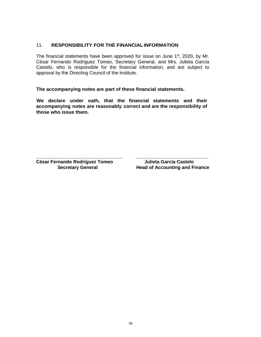#### 11. **RESPONSIBILITY FOR THE FINANCIALINFORMATION**

The financial statements have been approved for issue on June 1<sup>st</sup>, 2020, by Mr. César Fernando Rodríguez Tomeo, Secretary General, and Mrs. Julieta García Castelo, who is responsible for the financial information, and are subject to approval by the Directing Council of the lnstitute.

**The accompanying notes are part of these financial statements.**

**We declare under oath, that the financial statements and their accompanying notes are reasonably correct and are the responsibility of those who issue them.** 

**\_\_\_\_\_\_\_\_\_\_\_\_\_\_\_\_\_\_\_\_\_\_\_\_\_\_\_\_\_\_\_\_\_ \_\_\_\_\_\_\_\_\_\_\_\_\_\_\_\_\_\_\_\_\_\_\_\_\_\_\_\_ César Fernando Rodríguez Tomeo Julieta García Castelo**

**Head of Accounting and Finance**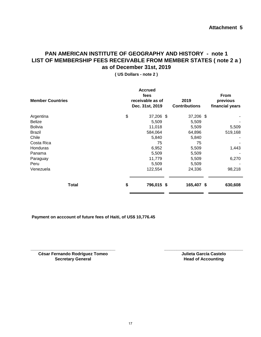# **PAN AMERICAN INSTITUTE OF GEOGRAPHY AND HISTORY - note 1 LIST OF MEMBERSHIP FEES RECEIVABLE FROM MEMBER STATES ( note 2 a ) as of December 31st, 2019**

**( US Dollars - note 2 )**

| <b>Member Countries</b> | <b>Accrued</b><br>fees<br>receivable as of<br>Dec. 31st, 2019 | 2019<br><b>Contributions</b> | From<br>previous<br>financial years |
|-------------------------|---------------------------------------------------------------|------------------------------|-------------------------------------|
| \$<br>Argentina         | 37,206 \$                                                     | 37,206 \$                    |                                     |
| <b>Belize</b>           | 5,509                                                         | 5,509                        |                                     |
| <b>Bolivia</b>          | 11,018                                                        | 5,509                        | 5,509                               |
| <b>Brazil</b>           | 584,064                                                       | 64,896                       | 519,168                             |
| Chile                   | 5,840                                                         | 5,840                        |                                     |
| Costa Rica              | 75                                                            | 75                           |                                     |
| Honduras                | 6,952                                                         | 5,509                        | 1,443                               |
| Panama                  | 5,509                                                         | 5,509                        |                                     |
| Paraguay                | 11,779                                                        | 5,509                        | 6,270                               |
| Peru                    | 5,509                                                         | 5,509                        |                                     |
| Venezuela               | 122,554                                                       | 24,336                       | 98,218                              |
| <b>Total</b><br>\$      | 796,015 \$                                                    | 165,407 \$                   | 630,608                             |

**Payment on acccount of future fees of Haiti, of US\$ 10,776.45**

**\_\_\_\_\_\_\_\_\_\_\_\_\_\_\_\_\_\_\_\_\_\_\_\_\_\_\_\_\_\_\_\_\_\_\_\_ César Fernando Rodríguez Tomeo Secretary General**

**\_\_\_\_\_\_\_\_\_\_\_\_\_\_\_\_\_\_\_\_\_\_\_\_\_\_\_\_\_\_\_\_\_\_\_ Julieta García Castelo Head of Accounting**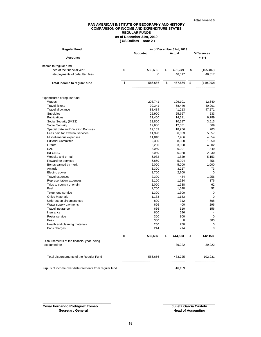#### **PAN AMERICAN INSTITUTE OF GEOGRAPHY AND HISTORY COMPARISON OF INCOME AND EXPENDITURE STATES REGULAR FUNDS as of December 31st, 2019 ( US Dollars - note 2 )**

| Regular Fund                                               | as of December 31st, 2019 |                 |               |                    |                |
|------------------------------------------------------------|---------------------------|-----------------|---------------|--------------------|----------------|
|                                                            |                           | <b>Budgeted</b> | Actual        | <b>Differences</b> |                |
| <b>Accounts</b>                                            |                           |                 |               |                    | + (–)          |
| Income to regular fund                                     |                           |                 |               |                    |                |
| Fees of the financial year                                 | \$                        | 586,656         | \$<br>421,249 | \$                 | (165, 407)     |
| Late payments of defaulted fees                            |                           | 0               | 46,317        |                    | 46,317         |
|                                                            |                           |                 |               |                    |                |
| Total income to regular fund                               | \$                        | 586,656         | \$<br>467,566 | \$                 | (119,090)      |
|                                                            |                           |                 |               |                    |                |
| Expenditures of regular fund                               |                           |                 |               |                    |                |
| Wages                                                      |                           | 208,741         | 196,101       |                    | 12,640         |
| <b>Travel tickets</b>                                      |                           | 99,341          | 58,440        |                    | 40,901         |
| <b>Travel allowance</b>                                    |                           | 88,484          | 41,213        |                    | 47,271         |
| <b>Subsidies</b>                                           |                           | 25,900          | 25,667        |                    | 233            |
| Publications                                               |                           | 21,400          | 14,611        |                    | 6,789          |
| Social Security (IMSS)                                     |                           | 13,800          | 10,287        |                    | 3,513          |
| Social Security                                            |                           | 12,600          | 12,031        |                    | 569            |
| Special date and Vacation Bonuses                          |                           | 19,159          | 18,956        |                    | 203            |
| Fees paid for external services                            |                           | 11,390          | 6,033         |                    | 5,357          |
| Miscellaneous expenses                                     |                           | 11,840          | 7,486         |                    | 4,354          |
| <b>Editorial Committee</b>                                 |                           | 9,350           | 8,300         |                    | 1,050          |
| Grants                                                     |                           | 8,200           | 3,398         |                    | 4,802          |
| SAR                                                        |                           | 8,050           | 6,201         |                    | 1,849          |
| <b>INFONAVIT</b>                                           |                           | 8,050           | 6,020         |                    | 2,030          |
| Website and e-mail                                         |                           | 6,982           | 1,829         |                    | 5,153          |
| Reward for services                                        |                           | 6,850           | 5,994         |                    | 856            |
| Bonus earned by merit                                      |                           | 6,000           | 5,000         |                    | 1,000          |
| Awards                                                     |                           | 3,300           | 3,227         |                    | 73             |
| Electric power                                             |                           | 2,700           | 2,700         |                    | $\mathbf 0$    |
| <b>Travel expenses</b>                                     |                           | 2,390           | 434           |                    |                |
|                                                            |                           |                 |               |                    | 1,956          |
| Representation expenses                                    |                           | 2,100           | 1,924         |                    | 176            |
| Trips to country of origin                                 |                           | 2,000           | 1,938         |                    | 62             |
| Fuel                                                       |                           | 1,700           | 1,648         |                    | 52             |
| Telephone service                                          |                           | 1,300           | 1,300         |                    | $\mathbf 0$    |
| <b>Office Materials</b>                                    |                           | 1,183           | 1,183         |                    | 0              |
| Unforeseen circumstances                                   |                           | 820             | 312           |                    | 508            |
| Water supply payments                                      |                           | 696             | 400           |                    | 296            |
| <b>Travel Insurance</b>                                    |                           | 666             | 510           |                    | 156            |
| Insurance                                                  |                           | 600             | 596           |                    | $\overline{4}$ |
| Postal service                                             |                           | 300             | 300           |                    | 0              |
| Fees                                                       |                           | 300             | 0             |                    | 300            |
| Health and cleaning materials                              |                           | 250             | 250           |                    | 0              |
| Bank charges                                               |                           | 214             | 214           |                    | 0              |
|                                                            | \$                        | 586,656         | \$<br>444,503 | \$                 | 142.153        |
| Disbursements of the financial year being<br>accounted for |                           |                 | 39,222        |                    | -39,222        |
| Total disbursements of the Regular Fund                    |                           | 586,656         | 483,725       |                    | 102,931        |
| Surplus of income over disbursements from regular fund     |                           |                 | $-16,159$     |                    |                |

**César Fernando Rodríguez Tomeo Secretary General**

**\_\_\_\_\_\_\_\_\_\_\_\_\_\_\_\_\_\_\_\_\_\_\_\_\_\_\_\_\_\_\_\_\_\_\_\_**

**Julieta García Castelo Head of Accounting**